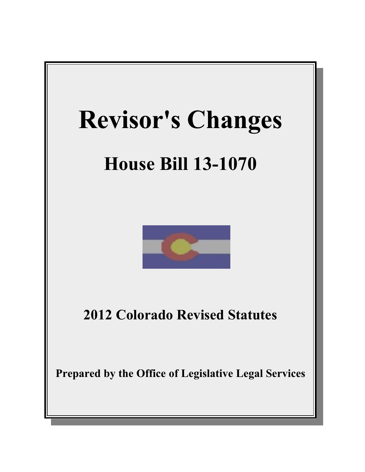



**2012 Colorado Revised Statutes**

**Prepared by the Office of Legislative Legal Services**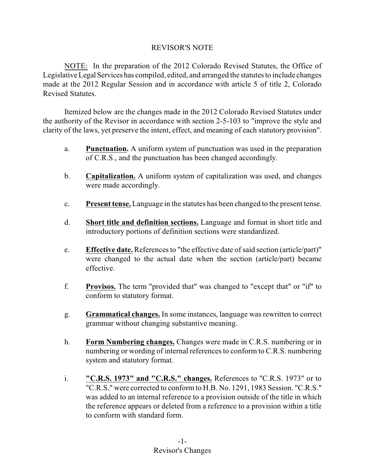# REVISOR'S NOTE

NOTE: In the preparation of the 2012 Colorado Revised Statutes, the Office of Legislative Legal Services has compiled, edited, and arranged the statutes to include changes made at the 2012 Regular Session and in accordance with article 5 of title 2, Colorado Revised Statutes.

Itemized below are the changes made in the 2012 Colorado Revised Statutes under the authority of the Revisor in accordance with section 2-5-103 to "improve the style and clarity of the laws, yet preserve the intent, effect, and meaning of each statutory provision".

- a. **Punctuation.** A uniform system of punctuation was used in the preparation of C.R.S., and the punctuation has been changed accordingly.
- b. **Capitalization.** A uniform system of capitalization was used, and changes were made accordingly.
- c. **Present tense.** Language in the statutes has been changed to the present tense.
- d. **Short title and definition sections.** Language and format in short title and introductory portions of definition sections were standardized.
- e. **Effective date.** References to "the effective date of said section (article/part)" were changed to the actual date when the section (article/part) became effective.
- f. **Provisos.** The term "provided that" was changed to "except that" or "if" to conform to statutory format.
- g. **Grammatical changes.** In some instances, language was rewritten to correct grammar without changing substantive meaning.
- h. **Form Numbering changes.** Changes were made in C.R.S. numbering or in numbering or wording of internal references to conform to C.R.S. numbering system and statutory format.
- i. **"C.R.S. 1973" and "C.R.S." changes.** References to "C.R.S. 1973" or to "C.R.S." were corrected to conform to H.B. No. 1291, 1983 Session. "C.R.S." was added to an internal reference to a provision outside of the title in which the reference appears or deleted from a reference to a provision within a title to conform with standard form.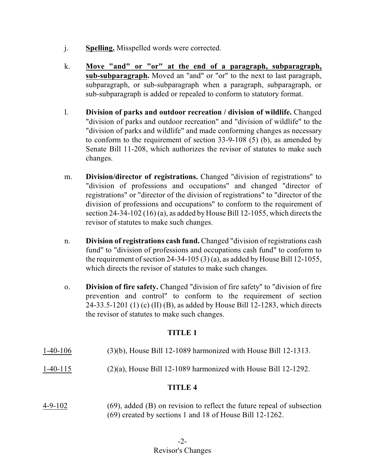- j. **Spelling.** Misspelled words were corrected.
- k. **Move "and" or "or" at the end of a paragraph, subparagraph, sub-subparagraph.** Moved an "and" or "or" to the next to last paragraph, subparagraph, or sub-subparagraph when a paragraph, subparagraph, or sub-subparagraph is added or repealed to conform to statutory format.
- l. **Division of parks and outdoor recreation / division of wildlife.** Changed "division of parks and outdoor recreation" and "division of wildlife" to the "division of parks and wildlife" and made conforming changes as necessary to conform to the requirement of section 33-9-108 (5) (b), as amended by Senate Bill 11-208, which authorizes the revisor of statutes to make such changes.
- m. **Division/director of registrations.** Changed "division of registrations" to "division of professions and occupations" and changed "director of registrations" or "director of the division of registrations" to "director of the division of professions and occupations" to conform to the requirement of section 24-34-102 (16) (a), as added by House Bill 12-1055, which directs the revisor of statutes to make such changes.
- n. **Division of registrations cash fund.** Changed "division of registrations cash fund" to "division of professions and occupations cash fund" to conform to the requirement of section 24-34-105 (3) (a), as added by House Bill 12-1055, which directs the revisor of statutes to make such changes.
- o. **Division of fire safety.** Changed "division of fire safety" to "division of fire prevention and control" to conform to the requirement of section 24-33.5-1201 (1) (c) (II) (B), as added by House Bill 12-1283, which directs the revisor of statutes to make such changes.

- 1-40-106 (3)(b), House Bill 12-1089 harmonized with House Bill 12-1313.
- 1-40-115 (2)(a), House Bill 12-1089 harmonized with House Bill 12-1292.

# **TITLE 4**

4-9-102 (69), added (B) on revision to reflect the future repeal of subsection (69) created by sections 1 and 18 of House Bill 12-1262.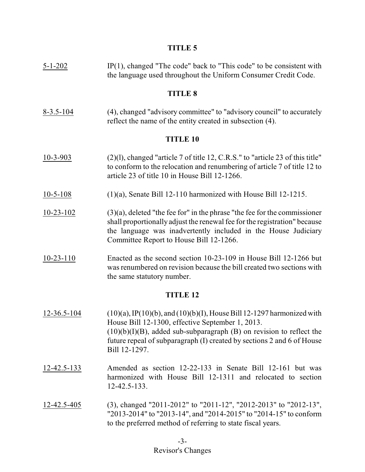| $5 - 1 - 202$   | $IP(1)$ , changed "The code" back to "This code" to be consistent with<br>the language used throughout the Uniform Consumer Credit Code.                                                                                                                                                              |  |
|-----------------|-------------------------------------------------------------------------------------------------------------------------------------------------------------------------------------------------------------------------------------------------------------------------------------------------------|--|
| <b>TITLE 8</b>  |                                                                                                                                                                                                                                                                                                       |  |
| $8 - 3.5 - 104$ | (4), changed "advisory committee" to "advisory council" to accurately<br>reflect the name of the entity created in subsection (4).                                                                                                                                                                    |  |
| <b>TITLE 10</b> |                                                                                                                                                                                                                                                                                                       |  |
| $10-3-903$      | (2)(1), changed "article 7 of title 12, C.R.S." to "article 23 of this title"<br>to conform to the relocation and renumbering of article 7 of title 12 to<br>article 23 of title 10 in House Bill 12-1266.                                                                                            |  |
| $10 - 5 - 108$  | $(1)(a)$ , Senate Bill 12-110 harmonized with House Bill 12-1215.                                                                                                                                                                                                                                     |  |
| $10 - 23 - 102$ | $(3)(a)$ , deleted "the fee for" in the phrase "the fee for the commissioner<br>shall proportionally adjust the renewal fee for the registration" because<br>the language was inadvertently included in the House Judiciary<br>Committee Report to House Bill 12-1266.                                |  |
| $10-23-110$     | Enacted as the second section 10-23-109 in House Bill 12-1266 but<br>was renumbered on revision because the bill created two sections with<br>the same statutory number.                                                                                                                              |  |
| <b>TITLE 12</b> |                                                                                                                                                                                                                                                                                                       |  |
| 12-36.5-104     | $(10)(a)$ , IP(10)(b), and (10)(b)(I), House Bill 12-1297 harmonized with<br>House Bill 12-1300, effective September 1, 2013.<br>$(10)(b)(I)(B)$ , added sub-subparagraph $(B)$ on revision to reflect the<br>future repeal of subparagraph (I) created by sections 2 and 6 of House<br>Bill 12-1297. |  |
| 12-42.5-133     | Amended as section 12-22-133 in Senate Bill 12-161 but was<br>harmonized with House Bill 12-1311 and relocated to section<br>12-42.5-133.                                                                                                                                                             |  |
| 12-42.5-405     | (3), changed "2011-2012" to "2011-12", "2012-2013" to "2012-13",<br>"2013-2014" to "2013-14", and "2014-2015" to "2014-15" to conform<br>to the preferred method of referring to state fiscal years.                                                                                                  |  |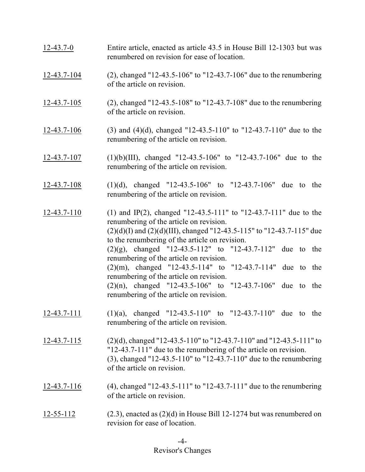| $12 - 43.7 - 0$   | Entire article, enacted as article 43.5 in House Bill 12-1303 but was<br>renumbered on revision for ease of location.                                                                                                                                                                                                                                                                                                                                                                                                                                                        |
|-------------------|------------------------------------------------------------------------------------------------------------------------------------------------------------------------------------------------------------------------------------------------------------------------------------------------------------------------------------------------------------------------------------------------------------------------------------------------------------------------------------------------------------------------------------------------------------------------------|
| 12-43.7-104       | (2), changed "12-43.5-106" to "12-43.7-106" due to the renumbering<br>of the article on revision.                                                                                                                                                                                                                                                                                                                                                                                                                                                                            |
| $12 - 43.7 - 105$ | (2), changed "12-43.5-108" to "12-43.7-108" due to the renumbering<br>of the article on revision.                                                                                                                                                                                                                                                                                                                                                                                                                                                                            |
| $12 - 43.7 - 106$ | (3) and (4)(d), changed "12-43.5-110" to "12-43.7-110" due to the<br>renumbering of the article on revision.                                                                                                                                                                                                                                                                                                                                                                                                                                                                 |
| 12-43.7-107       | $(1)(b)(III)$ , changed "12-43.5-106" to "12-43.7-106" due to the<br>renumbering of the article on revision.                                                                                                                                                                                                                                                                                                                                                                                                                                                                 |
| $12 - 43.7 - 108$ | $(1)(d)$ , changed "12-43.5-106" to "12-43.7-106" due to the<br>renumbering of the article on revision.                                                                                                                                                                                                                                                                                                                                                                                                                                                                      |
| $12 - 43.7 - 110$ | (1) and IP(2), changed "12-43.5-111" to "12-43.7-111" due to the<br>renumbering of the article on revision.<br>$(2)(d)(I)$ and $(2)(d)(III)$ , changed "12-43.5-115" to "12-43.7-115" due<br>to the renumbering of the article on revision.<br>$(2)(g)$ , changed "12-43.5-112" to "12-43.7-112" due to the<br>renumbering of the article on revision.<br>$(2)(m)$ , changed "12-43.5-114" to "12-43.7-114" due to the<br>renumbering of the article on revision.<br>$(2)(n)$ , changed "12-43.5-106" to "12-43.7-106" due to the<br>renumbering of the article on revision. |
| $12-43.7-111$     | $(1)(a)$ , changed "12-43.5-110" to "12-43.7-110" due to the<br>renumbering of the article on revision.                                                                                                                                                                                                                                                                                                                                                                                                                                                                      |
| 12-43.7-115       | $(2)(d)$ , changed "12-43.5-110" to "12-43.7-110" and "12-43.5-111" to<br>"12-43.7-111" due to the renumbering of the article on revision.<br>(3), changed "12-43.5-110" to "12-43.7-110" due to the renumbering<br>of the article on revision.                                                                                                                                                                                                                                                                                                                              |
| 12-43.7-116       | (4), changed "12-43.5-111" to "12-43.7-111" due to the renumbering<br>of the article on revision.                                                                                                                                                                                                                                                                                                                                                                                                                                                                            |
| 12-55-112         | $(2.3)$ , enacted as $(2)(d)$ in House Bill 12-1274 but was renumbered on<br>revision for ease of location.                                                                                                                                                                                                                                                                                                                                                                                                                                                                  |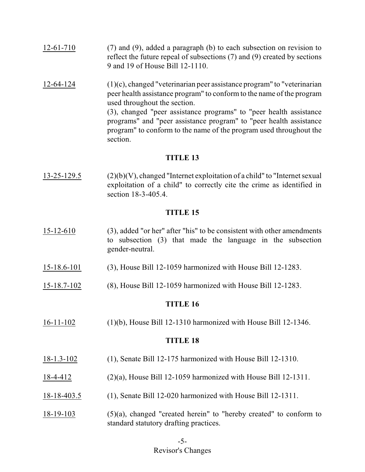- 12-61-710 (7) and (9), added a paragraph (b) to each subsection on revision to reflect the future repeal of subsections (7) and (9) created by sections 9 and 19 of House Bill 12-1110.
- 12-64-124 (1)(c), changed "veterinarian peer assistance program" to "veterinarian peer health assistance program" to conform to the name of the program used throughout the section. (3), changed "peer assistance programs" to "peer health assistance programs" and "peer assistance program" to "peer health assistance program" to conform to the name of the program used throughout the section.

13-25-129.5 (2)(b)(V), changed "Internet exploitation of a child" to "Internet sexual exploitation of a child" to correctly cite the crime as identified in section 18-3-405.4.

### **TITLE 15**

- 15-12-610 (3), added "or her" after "his" to be consistent with other amendments to subsection (3) that made the language in the subsection gender-neutral.
- 15-18.6-101 (3), House Bill 12-1059 harmonized with House Bill 12-1283.
- 15-18.7-102 (8), House Bill 12-1059 harmonized with House Bill 12-1283.

# **TITLE 16**

16-11-102 (1)(b), House Bill 12-1310 harmonized with House Bill 12-1346.

- 18-1.3-102 (1), Senate Bill 12-175 harmonized with House Bill 12-1310.
- 18-4-412 (2)(a), House Bill 12-1059 harmonized with House Bill 12-1311.
- 18-18-403.5 (1), Senate Bill 12-020 harmonized with House Bill 12-1311.
- 18-19-103 (5)(a), changed "created herein" to "hereby created" to conform to standard statutory drafting practices.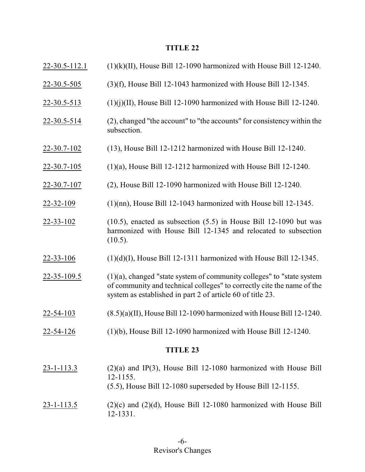| $22 - 30.5 - 112.1$ | $(1)(k)(II)$ , House Bill 12-1090 harmonized with House Bill 12-1240.                                                                                                                                             |  |
|---------------------|-------------------------------------------------------------------------------------------------------------------------------------------------------------------------------------------------------------------|--|
| 22-30.5-505         | $(3)(f)$ , House Bill 12-1043 harmonized with House Bill 12-1345.                                                                                                                                                 |  |
| $22 - 30.5 - 513$   | $(1)(i)(II)$ , House Bill 12-1090 harmonized with House Bill 12-1240.                                                                                                                                             |  |
| $22 - 30.5 - 514$   | (2), changed "the account" to "the accounts" for consistency within the<br>subsection.                                                                                                                            |  |
| $22 - 30.7 - 102$   | $(13)$ , House Bill 12-1212 harmonized with House Bill 12-1240.                                                                                                                                                   |  |
| $22 - 30.7 - 105$   | $(1)(a)$ , House Bill 12-1212 harmonized with House Bill 12-1240.                                                                                                                                                 |  |
| 22-30.7-107         | (2), House Bill 12-1090 harmonized with House Bill 12-1240.                                                                                                                                                       |  |
| $22 - 32 - 109$     | $(1)(nn)$ , House Bill 12-1043 harmonized with House bill 12-1345.                                                                                                                                                |  |
| $22 - 33 - 102$     | $(10.5)$ , enacted as subsection $(5.5)$ in House Bill 12-1090 but was<br>harmonized with House Bill 12-1345 and relocated to subsection<br>$(10.5)$ .                                                            |  |
| $22 - 33 - 106$     | $(1)(d)(I)$ , House Bill 12-1311 harmonized with House Bill 12-1345.                                                                                                                                              |  |
| $22 - 35 - 109.5$   | $(1)(a)$ , changed "state system of community colleges" to "state system"<br>of community and technical colleges" to correctly cite the name of the<br>system as established in part 2 of article 60 of title 23. |  |
| 22-54-103           | $(8.5)(a)(II)$ , House Bill 12-1090 harmonized with House Bill 12-1240.                                                                                                                                           |  |
| 22-54-126           | $(1)(b)$ , House Bill 12-1090 harmonized with House Bill 12-1240.                                                                                                                                                 |  |
| <b>TITLE 23</b>     |                                                                                                                                                                                                                   |  |
| $23 - 1 - 113.3$    | $(2)(a)$ and IP(3), House Bill 12-1080 harmonized with House Bill<br>$12 - 1155.$<br>$(5.5)$ , House Bill 12-1080 superseded by House Bill 12-1155.                                                               |  |
| $23 - 1 - 113.5$    | $(2)(c)$ and $(2)(d)$ , House Bill 12-1080 harmonized with House Bill<br>12-1331.                                                                                                                                 |  |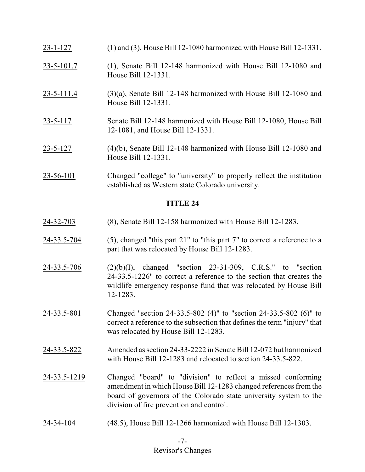- 23-1-127 (1) and (3), House Bill 12-1080 harmonized with House Bill 12-1331.
- 23-5-101.7 (1), Senate Bill 12-148 harmonized with House Bill 12-1080 and House Bill 12-1331.
- 23-5-111.4 (3)(a), Senate Bill 12-148 harmonized with House Bill 12-1080 and House Bill 12-1331.
- 23-5-117 Senate Bill 12-148 harmonized with House Bill 12-1080, House Bill 12-1081, and House Bill 12-1331.
- 23-5-127 (4)(b), Senate Bill 12-148 harmonized with House Bill 12-1080 and House Bill 12-1331.
- 23-56-101 Changed "college" to "university" to properly reflect the institution established as Western state Colorado university.

- 24-32-703 (8), Senate Bill 12-158 harmonized with House Bill 12-1283.
- 24-33.5-704 (5), changed "this part 21" to "this part 7" to correct a reference to a part that was relocated by House Bill 12-1283.
- 24-33.5-706 (2)(b)(I), changed "section 23-31-309, C.R.S." to "section 24-33.5-1226" to correct a reference to the section that creates the wildlife emergency response fund that was relocated by House Bill 12-1283.
- 24-33.5-801 Changed "section 24-33.5-802 (4)" to "section 24-33.5-802 (6)" to correct a reference to the subsection that defines the term "injury" that was relocated by House Bill 12-1283.
- 24-33.5-822 Amended as section 24-33-2222 in Senate Bill 12-072 but harmonized with House Bill 12-1283 and relocated to section 24-33.5-822.
- 24-33.5-1219 Changed "board" to "division" to reflect a missed conforming amendment in which House Bill 12-1283 changed references from the board of governors of the Colorado state university system to the division of fire prevention and control.
- 24-34-104 (48.5), House Bill 12-1266 harmonized with House Bill 12-1303.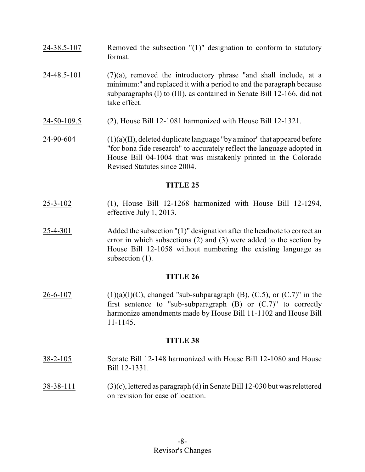- 24-38.5-107 Removed the subsection "(1)" designation to conform to statutory format.
- $24-48.5-101$  (7)(a), removed the introductory phrase "and shall include, at a minimum:" and replaced it with a period to end the paragraph because subparagraphs (I) to (III), as contained in Senate Bill 12-166, did not take effect.
- 24-50-109.5 (2), House Bill 12-1081 harmonized with House Bill 12-1321.
- $24-90-604$  (1)(a)(II), deleted duplicate language "by a minor" that appeared before "for bona fide research" to accurately reflect the language adopted in House Bill 04-1004 that was mistakenly printed in the Colorado Revised Statutes since 2004.

- 25-3-102 (1), House Bill 12-1268 harmonized with House Bill 12-1294, effective July 1, 2013.
- 25-4-301 Added the subsection "(1)" designation after the headnote to correct an error in which subsections (2) and (3) were added to the section by House Bill 12-1058 without numbering the existing language as subsection  $(1)$ .

# **TITLE 26**

26-6-107 (1)(a)(I)(C), changed "sub-subparagraph (B), (C.5), or (C.7)" in the first sentence to "sub-subparagraph  $(B)$  or  $(C.7)$ " to correctly harmonize amendments made by House Bill 11-1102 and House Bill 11-1145.

- 38-2-105 Senate Bill 12-148 harmonized with House Bill 12-1080 and House Bill 12-1331.
- 38-38-111 (3)(c), lettered as paragraph (d)in Senate Bill 12-030 but was relettered on revision for ease of location.